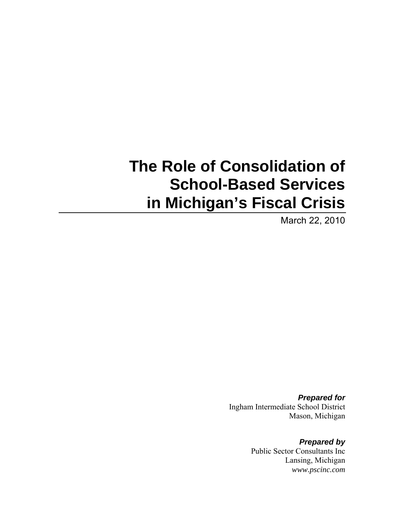# **The Role of Consolidation of School-Based Services in Michigan's Fiscal Crisis**

March 22, 2010

*Prepared for*  Ingham Intermediate School District Mason, Michigan

> *Prepared by*  Public Sector Consultants Inc Lansing, Michigan *www.pscinc.com*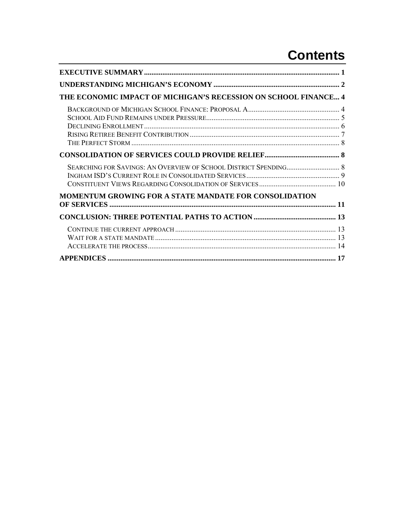## **Contents**

| THE ECONOMIC IMPACT OF MICHIGAN'S RECESSION ON SCHOOL FINANCE 4 |  |
|-----------------------------------------------------------------|--|
|                                                                 |  |
|                                                                 |  |
|                                                                 |  |
| <b>MOMENTUM GROWING FOR A STATE MANDATE FOR CONSOLIDATION</b>   |  |
|                                                                 |  |
|                                                                 |  |
|                                                                 |  |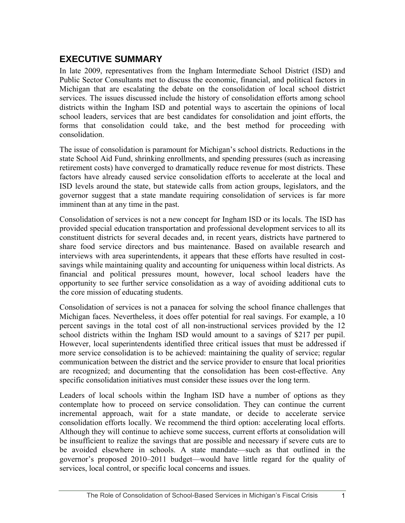## <span id="page-4-0"></span>**EXECUTIVE SUMMARY**

In late 2009, representatives from the Ingham Intermediate School District (ISD) and Public Sector Consultants met to discuss the economic, financial, and political factors in Michigan that are escalating the debate on the consolidation of local school district services. The issues discussed include the history of consolidation efforts among school districts within the Ingham ISD and potential ways to ascertain the opinions of local school leaders, services that are best candidates for consolidation and joint efforts, the forms that consolidation could take, and the best method for proceeding with consolidation.

The issue of consolidation is paramount for Michigan's school districts. Reductions in the state School Aid Fund, shrinking enrollments, and spending pressures (such as increasing retirement costs) have converged to dramatically reduce revenue for most districts. These factors have already caused service consolidation efforts to accelerate at the local and ISD levels around the state, but statewide calls from action groups, legislators, and the governor suggest that a state mandate requiring consolidation of services is far more imminent than at any time in the past.

Consolidation of services is not a new concept for Ingham ISD or its locals. The ISD has provided special education transportation and professional development services to all its constituent districts for several decades and, in recent years, districts have partnered to share food service directors and bus maintenance. Based on available research and interviews with area superintendents, it appears that these efforts have resulted in costsavings while maintaining quality and accounting for uniqueness within local districts. As financial and political pressures mount, however, local school leaders have the opportunity to see further service consolidation as a way of avoiding additional cuts to the core mission of educating students.

Consolidation of services is not a panacea for solving the school finance challenges that Michigan faces. Nevertheless, it does offer potential for real savings. For example, a 10 percent savings in the total cost of all non-instructional services provided by the 12 school districts within the Ingham ISD would amount to a savings of \$217 per pupil. However, local superintendents identified three critical issues that must be addressed if more service consolidation is to be achieved: maintaining the quality of service; regular communication between the district and the service provider to ensure that local priorities are recognized; and documenting that the consolidation has been cost-effective. Any specific consolidation initiatives must consider these issues over the long term.

Leaders of local schools within the Ingham ISD have a number of options as they contemplate how to proceed on service consolidation. They can continue the current incremental approach, wait for a state mandate, or decide to accelerate service consolidation efforts locally. We recommend the third option: accelerating local efforts. Although they will continue to achieve some success, current efforts at consolidation will be insufficient to realize the savings that are possible and necessary if severe cuts are to be avoided elsewhere in schools. A state mandate—such as that outlined in the governor's proposed 2010–2011 budget—would have little regard for the quality of services, local control, or specific local concerns and issues.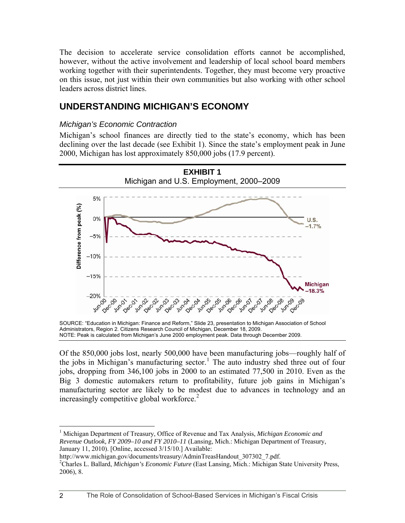<span id="page-5-0"></span>The decision to accelerate service consolidation efforts cannot be accomplished, however, without the active involvement and leadership of local school board members working together with their superintendents. Together, they must become very proactive on this issue, not just within their own communities but also working with other school leaders across district lines.

## **UNDERSTANDING MICHIGAN'S ECONOMY**

#### *Michigan's Economic Contraction*

Michigan's school finances are directly tied to the state's economy, which has been declining over the last decade (see Exhibit 1). Since the state's employment peak in June 2000, Michigan has lost approximately 850,000 jobs (17.9 percent).



Of the 850,000 jobs lost, nearly 500,000 have been manufacturing jobs—roughly half of the jobs in Michigan's manufacturing sector.<sup>[1](#page-5-1)</sup> The auto industry shed three out of four jobs, dropping from 346,100 jobs in 2000 to an estimated 77,500 in 2010. Even as the

Big 3 domestic automakers return to profitability, future job gains in Michigan's manufacturing sector are likely to be modest due to advances in technology and an increasingly competitive global workforce. $<sup>2</sup>$  $<sup>2</sup>$  $<sup>2</sup>$ </sup>

http://www.michigan.gov/documents/treasury/AdminTreasHandout\_307302\_7.pdf.

<span id="page-5-1"></span><sup>&</sup>lt;sup>1</sup> Michigan Department of Treasury, Office of Revenue and Tax Analysis, *Michigan Economic and Revenue Outlook, FY 2009–10 and FY 2010–11* (Lansing, Mich.: Michigan Department of Treasury, January 11, 2010). [Online, accessed 3/15/10.] Available:

<span id="page-5-2"></span><sup>&</sup>lt;sup>2</sup>Charles L. Ballard, *Michigan's Economic Future* (East Lansing, Mich.: Michigan State University Press, 2006), 8.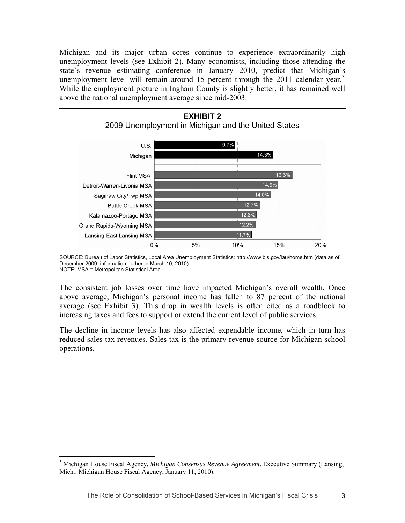Michigan and its major urban cores continue to experience extraordinarily high unemployment levels (see Exhibit 2). Many economists, including those attending the state's revenue estimating conference in January 2010, predict that Michigan's unemployment level will remain around 15 percent through the 2011 calendar year.<sup>[3](#page-6-0)</sup> While the employment picture in Ingham County is slightly better, it has remained well above the national unemployment average since mid-2003.



SOURCE: Bureau of Labor Statistics, Local Area Unemployment Statistics: http://www.bls.gov/lau/home.htm (data as of December 2009, information gathered March 10, 2010). NOTE: MSA = Metropolitan Statistical Area.

The consistent job losses over time have impacted Michigan's overall wealth. Once above average, Michigan's personal income has fallen to 87 percent of the national average (see Exhibit 3). This drop in wealth levels is often cited as a roadblock to increasing taxes and fees to support or extend the current level of public services.

The decline in income levels has also affected expendable income, which in turn has reduced sales tax revenues. Sales tax is the primary revenue source for Michigan school operations.

<span id="page-6-0"></span><sup>3</sup> Michigan House Fiscal Agency*, Michigan Consensus Revenue Agreement*, Executive Summary (Lansing, Mich.: Michigan House Fiscal Agency, January 11, 2010).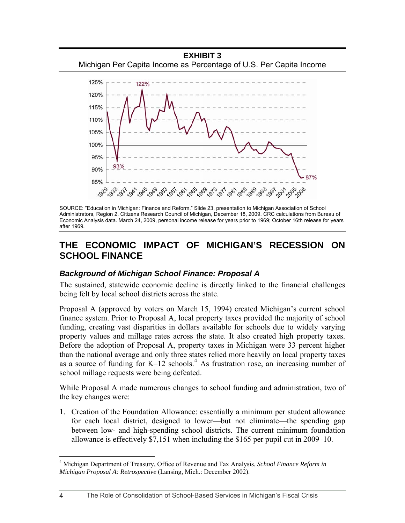<span id="page-7-0"></span>

SOURCE: "Education in Michigan: Finance and Reform," Slide 23, presentation to Michigan Association of School Administrators, Region 2. Citizens Research Council of Michigan, December 18, 2009. CRC calculations from Bureau of Economic Analysis data. March 24, 2009, personal income release for years prior to 1969; October 16th release for years after 1969.

### **THE ECONOMIC IMPACT OF MICHIGAN'S RECESSION ON SCHOOL FINANCE**

#### *Background of Michigan School Finance: Proposal A*

The sustained, statewide economic decline is directly linked to the financial challenges being felt by local school districts across the state.

Proposal A (approved by voters on March 15, 1994) created Michigan's current school finance system. Prior to Proposal A, local property taxes provided the majority of school funding, creating vast disparities in dollars available for schools due to widely varying property values and millage rates across the state. It also created high property taxes. Before the adoption of Proposal A, property taxes in Michigan were 33 percent higher than the national average and only three states relied more heavily on local property taxes as a source of funding for  $K-12$  schools.<sup>[4](#page-7-1)</sup> As frustration rose, an increasing number of school millage requests were being defeated.

While Proposal A made numerous changes to school funding and administration, two of the key changes were:

1. Creation of the Foundation Allowance: essentially a minimum per student allowance for each local district, designed to lower—but not eliminate—the spending gap between low- and high-spending school districts. The current minimum foundation allowance is effectively \$7,151 when including the \$165 per pupil cut in 2009–10.

<span id="page-7-1"></span><sup>4</sup> Michigan Department of Treasury, Office of Revenue and Tax Analysis, *School Finance Reform in Michigan Proposal A: Retrospective* (Lansing, Mich.: December 2002).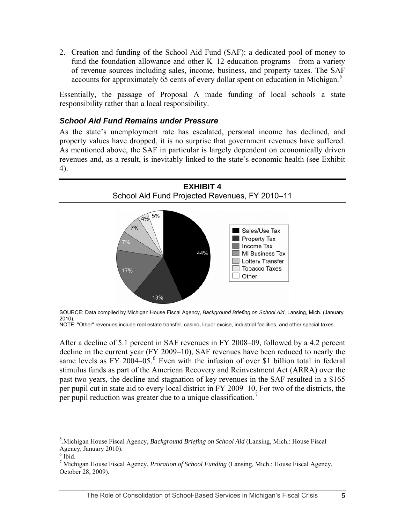<span id="page-8-0"></span>2. Creation and funding of the School Aid Fund (SAF): a dedicated pool of money to fund the foundation allowance and other K–12 education programs—from a variety of revenue sources including sales, income, business, and property taxes. The SAF accounts for approximately 6[5](#page-8-1) cents of every dollar spent on education in Michigan.<sup>5</sup>

Essentially, the passage of Proposal A made funding of local schools a state responsibility rather than a local responsibility.

#### *School Aid Fund Remains under Pressure*

As the state's unemployment rate has escalated, personal income has declined, and property values have dropped, it is no surprise that government revenues have suffered. As mentioned above, the SAF in particular is largely dependent on economically driven revenues and, as a result, is inevitably linked to the state's economic health (see Exhibit 4).





After a decline of 5.1 percent in SAF revenues in FY 2008–09, followed by a 4.2 percent decline in the current year (FY 2009–10), SAF revenues have been reduced to nearly the same levels as FY 2004–05. $6$  Even with the infusion of over \$1 billion total in federal stimulus funds as part of the American Recovery and Reinvestment Act (ARRA) over the past two years, the decline and stagnation of key revenues in the SAF resulted in a \$165 per pupil cut in state aid to every local district in FY 2009–10. For two of the districts, the per pupil reduction was greater due to a unique classification.<sup>[7](#page-8-3)</sup>

<span id="page-8-1"></span><sup>5</sup> *.*Michigan House Fiscal Agency, *Background Briefing on School Aid* (Lansing, Mich.: House Fiscal Agency, January 2010).

<span id="page-8-2"></span> $6$  Ibid.

<span id="page-8-3"></span><sup>7</sup> Michigan House Fiscal Agency, *Proration of School Funding* (Lansing, Mich.: House Fiscal Agency, October 28, 2009).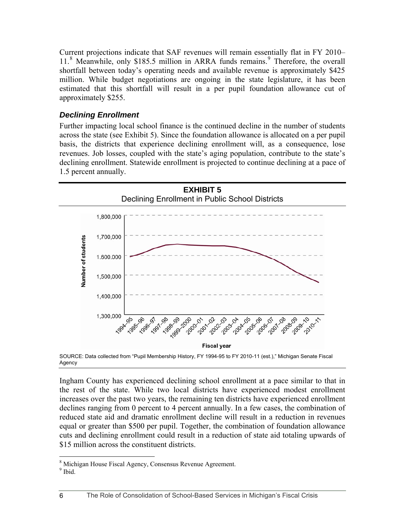<span id="page-9-0"></span>Current projections indicate that SAF revenues will remain essentially flat in FY 2010– 11.<sup>[8](#page-9-0)</sup> Meanwhile, only \$185.5 million in ARRA funds remains.<sup>[9](#page-9-0)</sup> Therefore, the overall shortfall between today's operating needs and available revenue is approximately \$425 million. While budget negotiations are ongoing in the state legislature, it has been estimated that this shortfall will result in a per pupil foundation allowance cut of approximately \$255.

#### *Declining Enrollment*

Further impacting local school finance is the continued decline in the number of students across the state (see Exhibit 5). Since the foundation allowance is allocated on a per pupil basis, the districts that experience declining enrollment will, as a consequence, lose revenues. Job losses, coupled with the state's aging population, contribute to the state's declining enrollment. Statewide enrollment is projected to continue declining at a pace of 1.5 percent annually.



SOURCE: Data collected from "Pupil Membership History, FY 1994-95 to FY 2010-11 (est.)," Michigan Senate Fiscal Agency

Ingham County has experienced declining school enrollment at a pace similar to that in the rest of the state. While two local districts have experienced modest enrollment increases over the past two years, the remaining ten districts have experienced enrollment declines ranging from 0 percent to 4 percent annually. In a few cases, the combination of reduced state aid and dramatic enrollment decline will result in a reduction in revenues equal or greater than \$500 per pupil. Together, the combination of foundation allowance cuts and declining enrollment could result in a reduction of state aid totaling upwards of \$15 million across the constituent districts.

 $\frac{8}{9}$  Michigan House Fiscal Agency, Consensus Revenue Agreement.

 $9$  Ibid.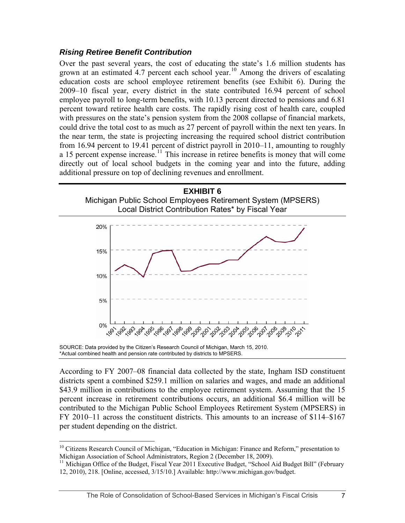#### <span id="page-10-0"></span>*Rising Retiree Benefit Contribution*

Over the past several years, the cost of educating the state's 1.6 million students has grown at an estimated  $4.7$  percent each school year.<sup>[10](#page-10-0)</sup> Among the drivers of escalating education costs are school employee retirement benefits (see Exhibit 6). During the 2009–10 fiscal year, every district in the state contributed 16.94 percent of school employee payroll to long-term benefits, with 10.13 percent directed to pensions and 6.81 percent toward retiree health care costs. The rapidly rising cost of health care, coupled with pressures on the state's pension system from the 2008 collapse of financial markets, could drive the total cost to as much as 27 percent of payroll within the next ten years. In the near term, the state is projecting increasing the required school district contribution from 16.94 percent to 19.41 percent of district payroll in 2010–11, amounting to roughly a 15 percent expense increase.<sup>[11](#page-10-0)</sup> This increase in retiree benefits is money that will come directly out of local school budgets in the coming year and into the future, adding additional pressure on top of declining revenues and enrollment.





SOURCE: Data provided by the Citizen's Research Council of Michigan, March 15, 2010. \*Actual combined health and pension rate contributed by districts to MPSERS.

 $\overline{a}$ 

According to FY 2007–08 financial data collected by the state, Ingham ISD constituent districts spent a combined \$259.1 million on salaries and wages, and made an additional \$43.9 million in contributions to the employee retirement system. Assuming that the 15 percent increase in retirement contributions occurs, an additional \$6.4 million will be contributed to the Michigan Public School Employees Retirement System (MPSERS) in FY 2010–11 across the constituent districts. This amounts to an increase of \$114–\$167 per student depending on the district.

<sup>&</sup>lt;sup>10</sup> Citizens Research Council of Michigan, "Education in Michigan: Finance and Reform," presentation to Michigan Association of School Administrators, Region 2 (December 18, 2009).

 $<sup>11</sup>$  Michigan Office of the Budget, Fiscal Year 2011 Executive Budget, "School Aid Budget Bill" (February</sup> 12, 2010), 218. [Online, accessed, 3/15/10.] Available: http://www.michigan.gov/budget.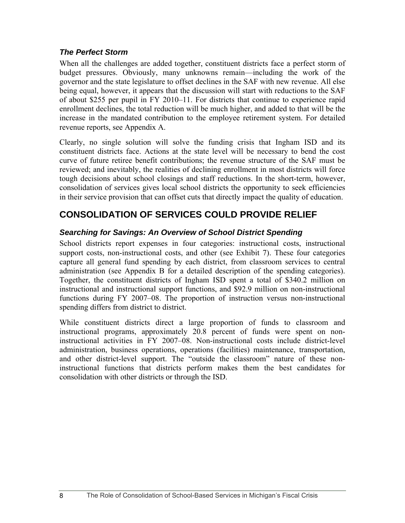#### <span id="page-11-0"></span>*The Perfect Storm*

When all the challenges are added together, constituent districts face a perfect storm of budget pressures. Obviously, many unknowns remain—including the work of the governor and the state legislature to offset declines in the SAF with new revenue. All else being equal, however, it appears that the discussion will start with reductions to the SAF of about \$255 per pupil in FY 2010–11. For districts that continue to experience rapid enrollment declines, the total reduction will be much higher, and added to that will be the increase in the mandated contribution to the employee retirement system. For detailed revenue reports, see Appendix A.

Clearly, no single solution will solve the funding crisis that Ingham ISD and its constituent districts face. Actions at the state level will be necessary to bend the cost curve of future retiree benefit contributions; the revenue structure of the SAF must be reviewed; and inevitably, the realities of declining enrollment in most districts will force tough decisions about school closings and staff reductions. In the short-term, however, consolidation of services gives local school districts the opportunity to seek efficiencies in their service provision that can offset cuts that directly impact the quality of education.

## **CONSOLIDATION OF SERVICES COULD PROVIDE RELIEF**

#### *Searching for Savings: An Overview of School District Spending*

School districts report expenses in four categories: instructional costs, instructional support costs, non-instructional costs, and other (see Exhibit 7). These four categories capture all general fund spending by each district, from classroom services to central administration (see Appendix B for a detailed description of the spending categories). Together, the constituent districts of Ingham ISD spent a total of \$340.2 million on instructional and instructional support functions, and \$92.9 million on non-instructional functions during FY 2007–08. The proportion of instruction versus non-instructional spending differs from district to district.

While constituent districts direct a large proportion of funds to classroom and instructional programs, approximately 20.8 percent of funds were spent on noninstructional activities in FY 2007–08. Non-instructional costs include district-level administration, business operations, operations (facilities) maintenance, transportation, and other district-level support. The "outside the classroom" nature of these noninstructional functions that districts perform makes them the best candidates for consolidation with other districts or through the ISD.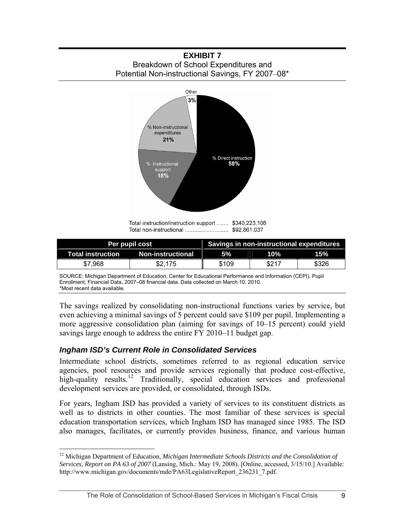<span id="page-12-0"></span>**EXHIBIT 7**  Breakdown of School Expenditures and Potential Non-instructional Savings, FY 2007–08\*



Total instruction/instruction support ........ \$340,223,106 

| <b>Per pupil cost</b>      |                   | Savings in non-instructional expenditures |       |            |
|----------------------------|-------------------|-------------------------------------------|-------|------------|
| Total instruction <b>T</b> | Non-instructional | 5%                                        | 10%   | <b>15%</b> |
| \$7.968                    | \$2.175           | \$109                                     | \$217 | \$326      |

SOURCE: Michigan Department of Education, Center for Educational Performance and Information (CEPI), Pupil Enrollment, Financial Data, 2007–08 financial data. Data collected on March 10, 2010. \*Most recent data available.

The savings realized by consolidating non-instructional functions varies by service, but even achieving a minimal savings of 5 percent could save \$109 per pupil. Implementing a more aggressive consolidation plan (aiming for savings of 10–15 percent) could yield savings large enough to address the entire FY 2010–11 budget gap.

#### *Ingham ISD's Current Role in Consolidated Services*

 $\overline{a}$ 

Intermediate school districts, sometimes referred to as regional education service agencies, pool resources and provide services regionally that produce cost-effective, high-quality results.<sup>[12](#page-12-0)</sup> Traditionally, special education services and professional development services are provided, or consolidated, through ISDs.

For years, Ingham ISD has provided a variety of services to its constituent districts as well as to districts in other counties. The most familiar of these services is special education transportation services, which Ingham ISD has managed since 1985. The ISD also manages, facilitates, or currently provides business, finance, and various human

<sup>&</sup>lt;sup>12</sup> Michigan Department of Education, *Michigan Intermediate Schools Districts and the Consolidation of Services, Report on PA 63 of 2007* (Lansing, Mich.: May 19, 2008). [Online, accessed, 3/15/10.] Available: http://www.michigan.gov/documents/mde/PA63LegislativeReport\_236231\_7.pdf*.*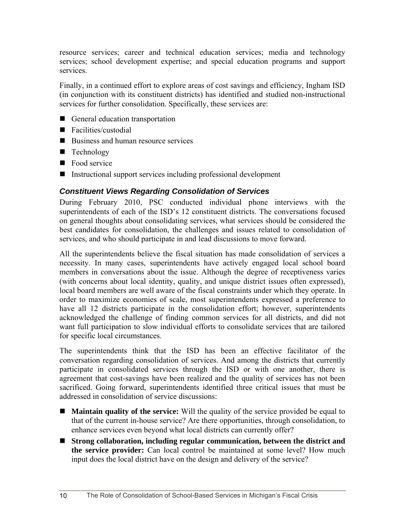<span id="page-13-0"></span>resource services; career and technical education services; media and technology services; school development expertise; and special education programs and support services.

Finally, in a continued effort to explore areas of cost savings and efficiency, Ingham ISD (in conjunction with its constituent districts) has identified and studied non-instructional services for further consolidation. Specifically, these services are:

- General education transportation
- Facilities/custodial
- Business and human resource services
- **Technology**
- Food service
- Instructional support services including professional development

#### *Constituent Views Regarding Consolidation of Services*

During February 2010, PSC conducted individual phone interviews with the superintendents of each of the ISD's 12 constituent districts. The conversations focused on general thoughts about consolidating services, what services should be considered the best candidates for consolidation, the challenges and issues related to consolidation of services, and who should participate in and lead discussions to move forward.

All the superintendents believe the fiscal situation has made consolidation of services a necessity. In many cases, superintendents have actively engaged local school board members in conversations about the issue. Although the degree of receptiveness varies (with concerns about local identity, quality, and unique district issues often expressed), local board members are well aware of the fiscal constraints under which they operate. In order to maximize economies of scale, most superintendents expressed a preference to have all 12 districts participate in the consolidation effort; however, superintendents acknowledged the challenge of finding common services for all districts, and did not want full participation to slow individual efforts to consolidate services that are tailored for specific local circumstances.

The superintendents think that the ISD has been an effective facilitator of the conversation regarding consolidation of services. And among the districts that currently participate in consolidated services through the ISD or with one another, there is agreement that cost-savings have been realized and the quality of services has not been sacrificed. Going forward, superintendents identified three critical issues that must be addressed in consolidation of service discussions:

- **Maintain quality of the service:** Will the quality of the service provided be equal to that of the current in-house service? Are there opportunities, through consolidation, to enhance services even beyond what local districts can currently offer?
- **Strong collaboration, including regular communication, between the district and the service provider:** Can local control be maintained at some level? How much input does the local district have on the design and delivery of the service?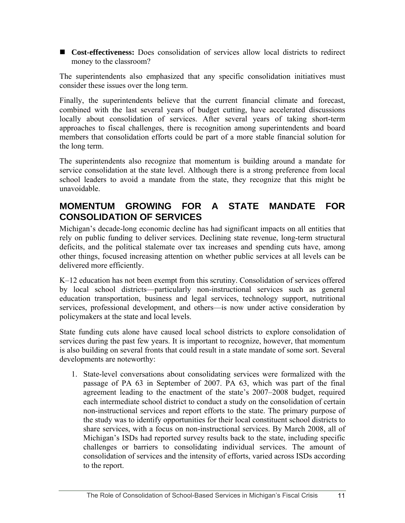<span id="page-14-0"></span>■ **Cost-effectiveness:** Does consolidation of services allow local districts to redirect money to the classroom?

The superintendents also emphasized that any specific consolidation initiatives must consider these issues over the long term.

Finally, the superintendents believe that the current financial climate and forecast, combined with the last several years of budget cutting, have accelerated discussions locally about consolidation of services. After several years of taking short-term approaches to fiscal challenges, there is recognition among superintendents and board members that consolidation efforts could be part of a more stable financial solution for the long term.

The superintendents also recognize that momentum is building around a mandate for service consolidation at the state level. Although there is a strong preference from local school leaders to avoid a mandate from the state, they recognize that this might be unavoidable.

### **MOMENTUM GROWING FOR A STATE MANDATE FOR CONSOLIDATION OF SERVICES**

Michigan's decade-long economic decline has had significant impacts on all entities that rely on public funding to deliver services. Declining state revenue, long-term structural deficits, and the political stalemate over tax increases and spending cuts have, among other things, focused increasing attention on whether public services at all levels can be delivered more efficiently.

K–12 education has not been exempt from this scrutiny. Consolidation of services offered by local school districts—particularly non-instructional services such as general education transportation, business and legal services, technology support, nutritional services, professional development, and others—is now under active consideration by policymakers at the state and local levels.

State funding cuts alone have caused local school districts to explore consolidation of services during the past few years. It is important to recognize, however, that momentum is also building on several fronts that could result in a state mandate of some sort. Several developments are noteworthy:

1. State-level conversations about consolidating services were formalized with the passage of PA 63 in September of 2007. PA 63, which was part of the final agreement leading to the enactment of the state's 2007–2008 budget, required each intermediate school district to conduct a study on the consolidation of certain non-instructional services and report efforts to the state. The primary purpose of the study was to identify opportunities for their local constituent school districts to share services, with a focus on non-instructional services. By March 2008, all of Michigan's ISDs had reported survey results back to the state, including specific challenges or barriers to consolidating individual services. The amount of consolidation of services and the intensity of efforts, varied across ISDs according to the report.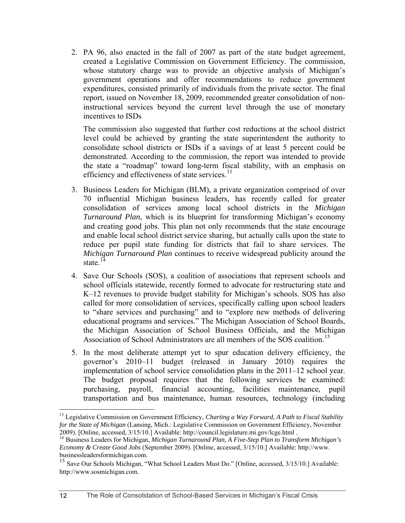<span id="page-15-0"></span>2. PA 96, also enacted in the fall of 2007 as part of the state budget agreement, created a Legislative Commission on Government Efficiency. The commission, whose statutory charge was to provide an objective analysis of Michigan's government operations and offer recommendations to reduce government expenditures, consisted primarily of individuals from the private sector. The final report, issued on November 18, 2009, recommended greater consolidation of noninstructional services beyond the current level through the use of monetary incentives to ISDs

The commission also suggested that further cost reductions at the school district level could be achieved by granting the state superintendent the authority to consolidate school districts or ISDs if a savings of at least 5 percent could be demonstrated. According to the commission, the report was intended to provide the state a "roadmap" toward long-term fiscal stability, with an emphasis on efficiency and effectiveness of state services.<sup>[13](#page-15-0)</sup>

- 3. Business Leaders for Michigan (BLM), a private organization comprised of over 70 influential Michigan business leaders, has recently called for greater consolidation of services among local school districts in the *Michigan Turnaround Plan*, which is its blueprint for transforming Michigan's economy and creating good jobs. This plan not only recommends that the state encourage and enable local school district service sharing, but actually calls upon the state to reduce per pupil state funding for districts that fail to share services. The *Michigan Turnaround Plan* continues to receive widespread publicity around the state. $^{14}$  $^{14}$  $^{14}$
- 4. Save Our Schools (SOS), a coalition of associations that represent schools and school officials statewide, recently formed to advocate for restructuring state and K–12 revenues to provide budget stability for Michigan's schools. SOS has also called for more consolidation of services, specifically calling upon school leaders to "share services and purchasing" and to "explore new methods of delivering educational programs and services." The Michigan Association of School Boards, the Michigan Association of School Business Officials, and the Michigan Association of School Administrators are all members of the SOS coalition.<sup>[15](#page-15-0)</sup>
- 5. In the most deliberate attempt yet to spur education delivery efficiency, the governor's 2010–11 budget (released in January 2010) requires the implementation of school service consolidation plans in the 2011–12 school year. The budget proposal requires that the following services be examined: purchasing, payroll, financial accounting, facilities maintenance, pupil transportation and bus maintenance, human resources, technology (including

<sup>1</sup> <sup>13</sup> Legislative Commission on Government Efficiency, *Charting a Way Forward*, A Path to Fiscal Stability *for the State of Michigan* (Lansing, Mich.: Legislative Commission on Government Efficiency, November 2009). [Online, accessed, 3/15/10.] Available: http://council.legislature.mi.gov/lcge.html .

<sup>&</sup>lt;sup>14</sup> Business Leaders for Michigan, *Michigan Turnaround Plan, A Five-Step Plan to Transform Michigan's Economy & Create Good Jobs* (September 2009). [Online, accessed, 3/15/10.] Available: http://www. businessleadersformichigan.com.

<sup>&</sup>lt;sup>15</sup> Save Our Schools Michigan, "What School Leaders Must Do." [Online, accessed, 3/15/10.] Available: http://www.sosmichigan.com.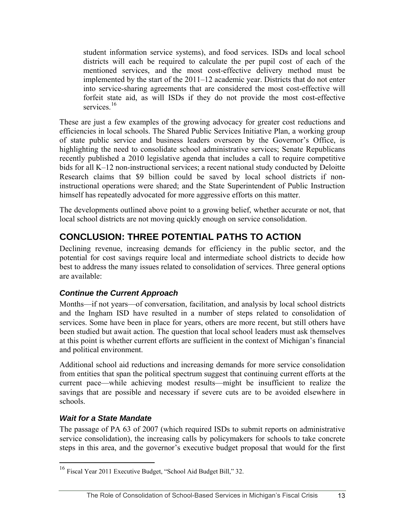<span id="page-16-0"></span>student information service systems), and food services. ISDs and local school districts will each be required to calculate the per pupil cost of each of the mentioned services, and the most cost-effective delivery method must be implemented by the start of the 2011–12 academic year. Districts that do not enter into service-sharing agreements that are considered the most cost-effective will forfeit state aid, as will ISDs if they do not provide the most cost-effective services $16$ 

These are just a few examples of the growing advocacy for greater cost reductions and efficiencies in local schools. The Shared Public Services Initiative Plan, a working group of state public service and business leaders overseen by the Governor's Office, is highlighting the need to consolidate school administrative services; Senate Republicans recently published a 2010 legislative agenda that includes a call to require competitive bids for all K–12 non-instructional services; a recent national study conducted by Deloitte Research claims that \$9 billion could be saved by local school districts if noninstructional operations were shared; and the State Superintendent of Public Instruction himself has repeatedly advocated for more aggressive efforts on this matter.

The developments outlined above point to a growing belief, whether accurate or not, that local school districts are not moving quickly enough on service consolidation.

## **CONCLUSION: THREE POTENTIAL PATHS TO ACTION**

Declining revenue, increasing demands for efficiency in the public sector, and the potential for cost savings require local and intermediate school districts to decide how best to address the many issues related to consolidation of services. Three general options are available:

#### *Continue the Current Approach*

Months—if not years—of conversation, facilitation, and analysis by local school districts and the Ingham ISD have resulted in a number of steps related to consolidation of services. Some have been in place for years, others are more recent, but still others have been studied but await action. The question that local school leaders must ask themselves at this point is whether current efforts are sufficient in the context of Michigan's financial and political environment.

Additional school aid reductions and increasing demands for more service consolidation from entities that span the political spectrum suggest that continuing current efforts at the current pace—while achieving modest results—might be insufficient to realize the savings that are possible and necessary if severe cuts are to be avoided elsewhere in schools.

#### *Wait for a State Mandate*

 $\overline{a}$ 

The passage of PA 63 of 2007 (which required ISDs to submit reports on administrative service consolidation), the increasing calls by policymakers for schools to take concrete steps in this area, and the governor's executive budget proposal that would for the first

<sup>&</sup>lt;sup>16</sup> Fiscal Year 2011 Executive Budget, "School Aid Budget Bill," 32.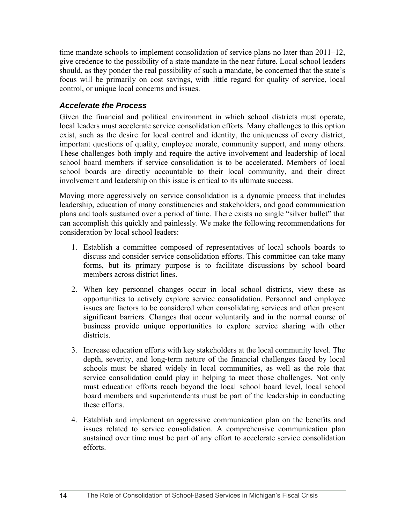<span id="page-17-0"></span>time mandate schools to implement consolidation of service plans no later than 2011–12, give credence to the possibility of a state mandate in the near future. Local school leaders should, as they ponder the real possibility of such a mandate, be concerned that the state's focus will be primarily on cost savings, with little regard for quality of service, local control, or unique local concerns and issues.

#### *Accelerate the Process*

Given the financial and political environment in which school districts must operate, local leaders must accelerate service consolidation efforts. Many challenges to this option exist, such as the desire for local control and identity, the uniqueness of every district, important questions of quality, employee morale, community support, and many others. These challenges both imply and require the active involvement and leadership of local school board members if service consolidation is to be accelerated. Members of local school boards are directly accountable to their local community, and their direct involvement and leadership on this issue is critical to its ultimate success.

Moving more aggressively on service consolidation is a dynamic process that includes leadership, education of many constituencies and stakeholders, and good communication plans and tools sustained over a period of time. There exists no single "silver bullet" that can accomplish this quickly and painlessly. We make the following recommendations for consideration by local school leaders:

- 1. Establish a committee composed of representatives of local schools boards to discuss and consider service consolidation efforts. This committee can take many forms, but its primary purpose is to facilitate discussions by school board members across district lines.
- 2. When key personnel changes occur in local school districts, view these as opportunities to actively explore service consolidation. Personnel and employee issues are factors to be considered when consolidating services and often present significant barriers. Changes that occur voluntarily and in the normal course of business provide unique opportunities to explore service sharing with other districts.
- 3. Increase education efforts with key stakeholders at the local community level. The depth, severity, and long-term nature of the financial challenges faced by local schools must be shared widely in local communities, as well as the role that service consolidation could play in helping to meet those challenges. Not only must education efforts reach beyond the local school board level, local school board members and superintendents must be part of the leadership in conducting these efforts.
- 4. Establish and implement an aggressive communication plan on the benefits and issues related to service consolidation. A comprehensive communication plan sustained over time must be part of any effort to accelerate service consolidation efforts.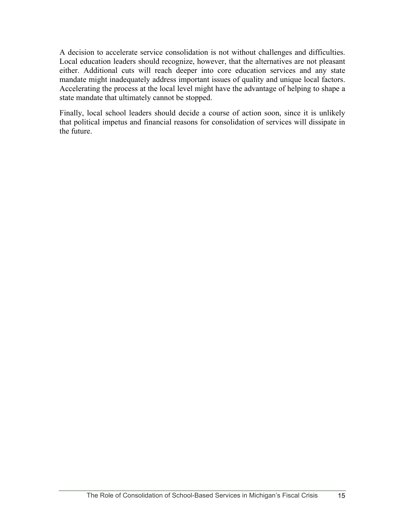A decision to accelerate service consolidation is not without challenges and difficulties. Local education leaders should recognize, however, that the alternatives are not pleasant either. Additional cuts will reach deeper into core education services and any state mandate might inadequately address important issues of quality and unique local factors. Accelerating the process at the local level might have the advantage of helping to shape a state mandate that ultimately cannot be stopped.

Finally, local school leaders should decide a course of action soon, since it is unlikely that political impetus and financial reasons for consolidation of services will dissipate in the future.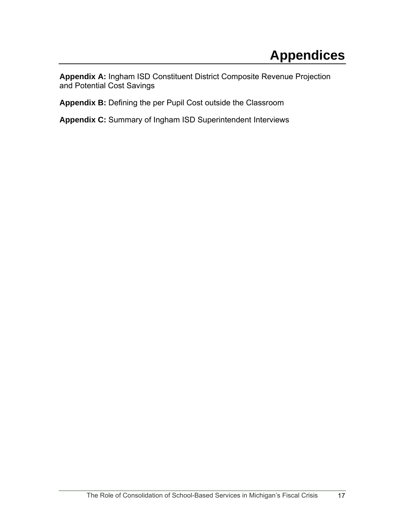<span id="page-20-0"></span>**Appendix A:** Ingham ISD Constituent District Composite Revenue Projection and Potential Cost Savings

Appendix B: Defining the per Pupil Cost outside the Classroom

**Appendix C:** Summary of Ingham ISD Superintendent Interviews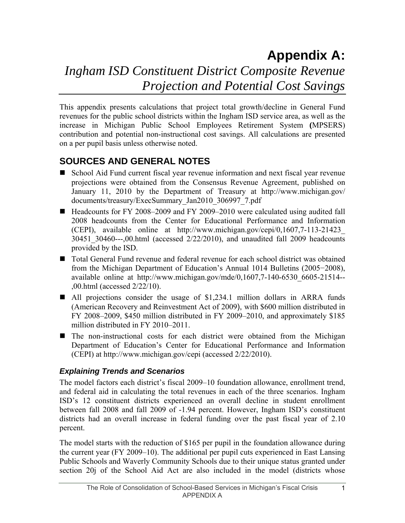## **Appendix A:**  *Ingham ISD Constituent District Composite Revenue Projection and Potential Cost Savings*

This appendix presents calculations that project total growth/decline in General Fund revenues for the public school districts within the Ingham ISD service area, as well as the increase in Michigan Public School Employees Retirement System **(**MPSERS) contribution and potential non-instructional cost savings. All calculations are presented on a per pupil basis unless otherwise noted.

## **SOURCES AND GENERAL NOTES**

- School Aid Fund current fiscal year revenue information and next fiscal year revenue projections were obtained from the Consensus Revenue Agreement, published on January 11, 2010 by the Department of Treasury at http://www.michigan.gov/ documents/treasury/ExecSummary\_Jan2010\_306997\_7.pdf
- Headcounts for FY 2008–2009 and FY 2009–2010 were calculated using audited fall 2008 headcounts from the Center for Educational Performance and Information (CEPI), available online at http://www.michigan.gov/cepi/0,1607,7-113-21423\_ 30451\_30460---,00.html (accessed 2/22/2010), and unaudited fall 2009 headcounts provided by the ISD.
- Total General Fund revenue and federal revenue for each school district was obtained from the Michigan Department of Education's Annual 1014 Bulletins (2005−2008), available online at http://www.michigan.gov/mde/0,1607,7-140-6530\_6605-21514-- ,00.html (accessed 2/22/10).
- All projections consider the usage of \$1,234.1 million dollars in ARRA funds (American Recovery and Reinvestment Act of 2009), with \$600 million distributed in FY 2008–2009, \$450 million distributed in FY 2009–2010, and approximately \$185 million distributed in FY 2010–2011.
- The non-instructional costs for each district were obtained from the Michigan Department of Education's Center for Educational Performance and Information (CEPI) at http://www.michigan.gov/cepi (accessed 2/22/2010).

#### *Explaining Trends and Scenarios*

The model factors each district's fiscal 2009–10 foundation allowance, enrollment trend, and federal aid in calculating the total revenues in each of the three scenarios. Ingham ISD's 12 constituent districts experienced an overall decline in student enrollment between fall 2008 and fall 2009 of -1.94 percent. However, Ingham ISD's constituent districts had an overall increase in federal funding over the past fiscal year of 2.10 percent.

The model starts with the reduction of \$165 per pupil in the foundation allowance during the current year (FY 2009–10). The additional per pupil cuts experienced in East Lansing Public Schools and Waverly Community Schools due to their unique status granted under section 20j of the School Aid Act are also included in the model (districts whose

1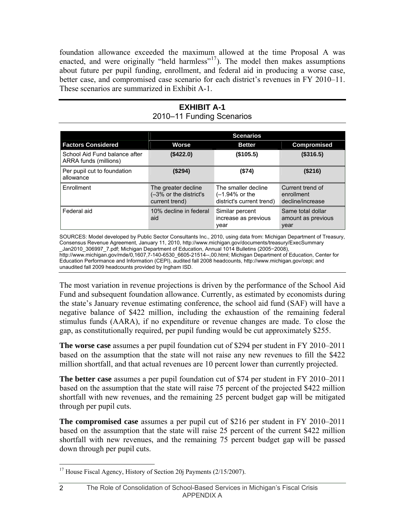<span id="page-23-0"></span>foundation allowance exceeded the maximum allowed at the time Proposal A was enacted, and were originally "held harmless"<sup>[17](#page-23-0)</sup>). The model then makes assumptions about future per pupil funding, enrollment, and federal aid in producing a worse case, better case, and compromised case scenario for each district's revenues in FY 2010–11. These scenarios are summarized in Exhibit A-1.

#### **EXHIBIT A-1**  2010–11 Funding Scenarios

|                                                        | <b>Scenarios</b>                                                |                                                                      |                                                    |  |
|--------------------------------------------------------|-----------------------------------------------------------------|----------------------------------------------------------------------|----------------------------------------------------|--|
| <b>Factors Considered</b>                              | Worse                                                           | <b>Better</b>                                                        | <b>Compromised</b>                                 |  |
| School Aid Fund balance after<br>ARRA funds (millions) | (\$422.0)                                                       | (\$105.5)                                                            | (\$316.5)                                          |  |
| Per pupil cut to foundation<br>allowance               | (\$294)                                                         | (\$74)                                                               | (\$216)                                            |  |
| Enrollment                                             | The greater decline<br>(-3% or the district's<br>current trend) | The smaller decline<br>$(-1.94%$ or the<br>district's current trend) | Current trend of<br>enrollment<br>decline/increase |  |
| Federal aid                                            | 10% decline in federal<br>aid                                   | Similar percent<br>increase as previous<br>year                      | Same total dollar<br>amount as previous<br>year    |  |

SOURCES: Model developed by Public Sector Consultants Inc., 2010, using data from: Michigan Department of Treasury, Consensus Revenue Agreement, January 11, 2010, [http://www.michigan.gov/documents/treasury/ExecSummary](http://www.michigan.gov/documents/treasury/ExecSummary%0B_Jan2010_306997_7.pdf)  [\\_Jan2010\\_306997\\_7.pdf](http://www.michigan.gov/documents/treasury/ExecSummary%0B_Jan2010_306997_7.pdf); Michigan Department of Education, Annual 1014 Bulletins (2005−2008), [http://www.michigan.gov/mde/0,1607,7-140-6530\\_6605-21514--,00.html](http://www.michigan.gov/mde/0,1607,7-140-6530_6605-21514--,00.html); Michigan Department of Education, Center for Education Performance and Information (CEPI), audited fall 2008 headcounts, [http://www.m](http://www.michigan.gov/cepi)ic[h](http://www.michigan.gov/cepi)ig[an.gov/cepi](http://www.michigan.gov/cepi); and unaudited fall 2009 headcounts provided by Ingham ISD.

The most variation in revenue projections is driven by the performance of the School Aid Fund and subsequent foundation allowance. Currently, as estimated by economists during the state's January revenue estimating conference, the school aid fund (SAF) will have a negative balance of \$422 million, including the exhaustion of the remaining federal stimulus funds (AARA), if no expenditure or revenue changes are made. To close the gap, as constitutionally required, per pupil funding would be cut approximately \$255.

**The worse case** assumes a per pupil foundation cut of \$294 per student in FY 2010–2011 based on the assumption that the state will not raise any new revenues to fill the \$422 million shortfall, and that actual revenues are 10 percent lower than currently projected.

**The better case** assumes a per pupil foundation cut of \$74 per student in FY 2010–2011 based on the assumption that the state will raise 75 percent of the projected \$422 million shortfall with new revenues, and the remaining 25 percent budget gap will be mitigated through per pupil cuts.

**The compromised case** assumes a per pupil cut of \$216 per student in FY 2010–2011 based on the assumption that the state will raise 25 percent of the current \$422 million shortfall with new revenues, and the remaining 75 percent budget gap will be passed down through per pupil cuts.

2

 $\overline{a}$ <sup>17</sup> House Fiscal Agency, History of Section 20j Payments ( $2/15/2007$ ).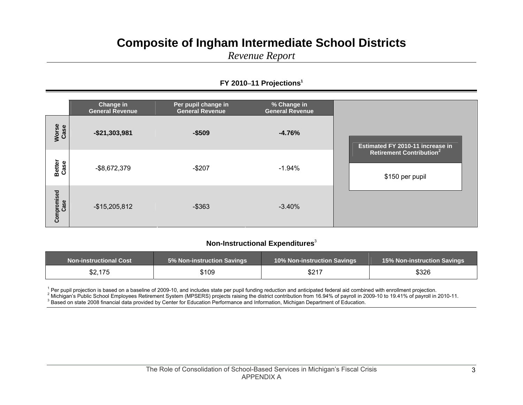## **Composite of Ingham Intermediate School Districts**

*Revenue Report*

#### **FY 2010 –11 Projections<sup>1</sup>**

|                       | Change in<br><b>General Revenue</b> | Per pupil change in<br><b>General Revenue</b> | % Change in<br><b>General Revenue</b> |                                                               |
|-----------------------|-------------------------------------|-----------------------------------------------|---------------------------------------|---------------------------------------------------------------|
| Worse<br>Case         | $-$21,303,981$                      | $-$509$                                       | $-4.76%$                              | Estimated FY 2010-11 increase in                              |
| <b>Better</b><br>Case | $-$ \$8,672,379                     | $-$207$                                       | $-1.94%$                              | <b>Retirement Contribution<sup>2</sup></b><br>\$150 per pupil |
| Compromised<br>Case   | $-$15,205,812$                      | $-$ \$363                                     | $-3.40%$                              |                                                               |

#### **Non-Instructional Expenditures**<sup>3</sup>

| <b>Non-instructional Cost</b> | <b>5% Non-instruction Savings</b> | <b>10% Non-instruction Savings</b> | <b>15% Non-instruction Savings</b> |
|-------------------------------|-----------------------------------|------------------------------------|------------------------------------|
| \$2,175                       | \$109                             | \$217                              | \$326                              |

<sup>1</sup> Per pupil projection is based on a baseline of 2009-10, and includes state per pupil funding reduction and anticipated federal aid combined with enrollment projection.<br>
<sup>2</sup> Michigan's Public School Employees Retiremen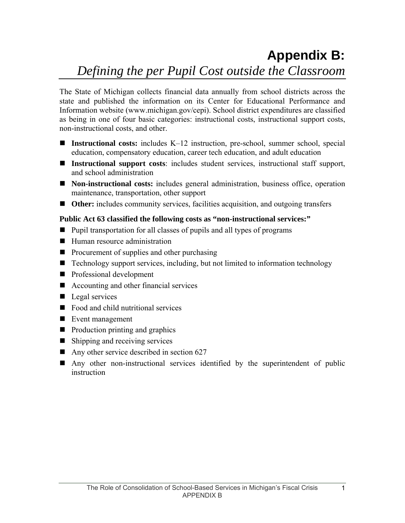# **Appendix B:**

## *Defining the per Pupil Cost outside the Classroom*

The State of Michigan collects financial data annually from school districts across the state and published the information on its Center for Educational Performance and Information website (www.michigan.gov/cepi). School district expenditures are classified as being in one of four basic categories: instructional costs, instructional support costs, non-instructional costs, and other.

- Instructional costs: includes K–12 instruction, pre-school, summer school, special education, compensatory education, career tech education, and adult education
- **Instructional support costs**: includes student services, instructional staff support, and school administration
- **Non-instructional costs:** includes general administration, business office, operation maintenance, transportation, other support
- Other: includes community services, facilities acquisition, and outgoing transfers

#### **Public Act 63 classified the following costs as "non-instructional services:"**

- Pupil transportation for all classes of pupils and all types of programs
- Human resource administration
- $\blacksquare$  Procurement of supplies and other purchasing
- Technology support services, including, but not limited to information technology
- **Professional development**
- Accounting and other financial services
- $\blacksquare$  Legal services
- Food and child nutritional services
- Event management
- **Production printing and graphics**
- Shipping and receiving services
- Any other service described in section  $627$
- Any other non-instructional services identified by the superintendent of public instruction

1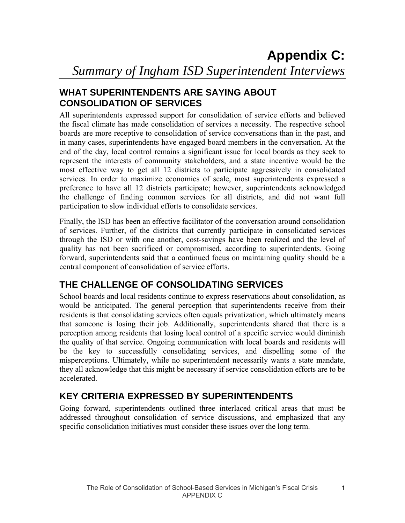## **WHAT SUPERINTENDENTS ARE SAYING ABOUT CONSOLIDATION OF SERVICES**

All superintendents expressed support for consolidation of service efforts and believed the fiscal climate has made consolidation of services a necessity. The respective school boards are more receptive to consolidation of service conversations than in the past, and in many cases, superintendents have engaged board members in the conversation. At the end of the day, local control remains a significant issue for local boards as they seek to represent the interests of community stakeholders, and a state incentive would be the most effective way to get all 12 districts to participate aggressively in consolidated services. In order to maximize economies of scale, most superintendents expressed a preference to have all 12 districts participate; however, superintendents acknowledged the challenge of finding common services for all districts, and did not want full participation to slow individual efforts to consolidate services.

Finally, the ISD has been an effective facilitator of the conversation around consolidation of services. Further, of the districts that currently participate in consolidated services through the ISD or with one another, cost-savings have been realized and the level of quality has not been sacrificed or compromised, according to superintendents. Going forward, superintendents said that a continued focus on maintaining quality should be a central component of consolidation of service efforts.

## **THE CHALLENGE OF CONSOLIDATING SERVICES**

School boards and local residents continue to express reservations about consolidation, as would be anticipated. The general perception that superintendents receive from their residents is that consolidating services often equals privatization, which ultimately means that someone is losing their job. Additionally, superintendents shared that there is a perception among residents that losing local control of a specific service would diminish the quality of that service. Ongoing communication with local boards and residents will be the key to successfully consolidating services, and dispelling some of the misperceptions. Ultimately, while no superintendent necessarily wants a state mandate, they all acknowledge that this might be necessary if service consolidation efforts are to be accelerated.

## **KEY CRITERIA EXPRESSED BY SUPERINTENDENTS**

Going forward, superintendents outlined three interlaced critical areas that must be addressed throughout consolidation of service discussions, and emphasized that any specific consolidation initiatives must consider these issues over the long term.

1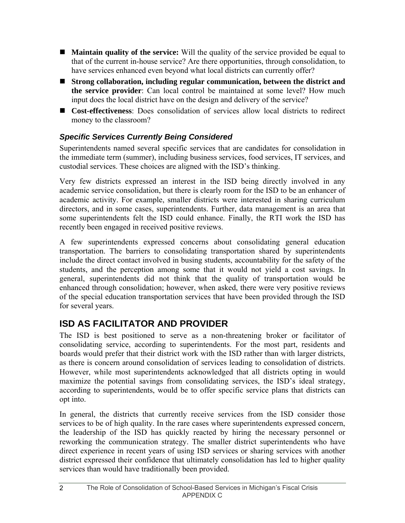- **Maintain quality of the service:** Will the quality of the service provided be equal to that of the current in-house service? Are there opportunities, through consolidation, to have services enhanced even beyond what local districts can currently offer?
- **Strong collaboration, including regular communication, between the district and the service provider**: Can local control be maintained at some level? How much input does the local district have on the design and delivery of the service?
- **Cost-effectiveness**: Does consolidation of services allow local districts to redirect money to the classroom?

### *Specific Services Currently Being Considered*

Superintendents named several specific services that are candidates for consolidation in the immediate term (summer), including business services, food services, IT services, and custodial services. These choices are aligned with the ISD's thinking.

Very few districts expressed an interest in the ISD being directly involved in any academic service consolidation, but there is clearly room for the ISD to be an enhancer of academic activity. For example, smaller districts were interested in sharing curriculum directors, and in some cases, superintendents. Further, data management is an area that some superintendents felt the ISD could enhance. Finally, the RTI work the ISD has recently been engaged in received positive reviews.

A few superintendents expressed concerns about consolidating general education transportation. The barriers to consolidating transportation shared by superintendents include the direct contact involved in busing students, accountability for the safety of the students, and the perception among some that it would not yield a cost savings. In general, superintendents did not think that the quality of transportation would be enhanced through consolidation; however, when asked, there were very positive reviews of the special education transportation services that have been provided through the ISD for several years.

## **ISD AS FACILITATOR AND PROVIDER**

The ISD is best positioned to serve as a non-threatening broker or facilitator of consolidating service, according to superintendents. For the most part, residents and boards would prefer that their district work with the ISD rather than with larger districts, as there is concern around consolidation of services leading to consolidation of districts. However, while most superintendents acknowledged that all districts opting in would maximize the potential savings from consolidating services, the ISD's ideal strategy, according to superintendents, would be to offer specific service plans that districts can opt into.

In general, the districts that currently receive services from the ISD consider those services to be of high quality. In the rare cases where superintendents expressed concern, the leadership of the ISD has quickly reacted by hiring the necessary personnel or reworking the communication strategy. The smaller district superintendents who have direct experience in recent years of using ISD services or sharing services with another district expressed their confidence that ultimately consolidation has led to higher quality services than would have traditionally been provided.